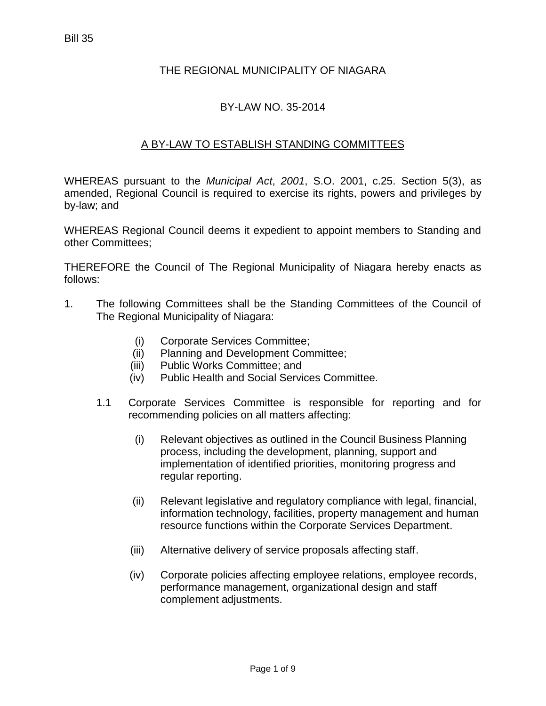## THE REGIONAL MUNICIPALITY OF NIAGARA

## BY-LAW NO. 35-2014

## A BY-LAW TO ESTABLISH STANDING COMMITTEES

WHEREAS pursuant to the *Municipal Act*, *2001*, S.O. 2001, c.25. Section 5(3), as amended, Regional Council is required to exercise its rights, powers and privileges by by-law; and

WHEREAS Regional Council deems it expedient to appoint members to Standing and other Committees;

THEREFORE the Council of The Regional Municipality of Niagara hereby enacts as follows:

- 1. The following Committees shall be the Standing Committees of the Council of The Regional Municipality of Niagara:
	- (i) Corporate Services Committee;
	- (ii) Planning and Development Committee;
	- (iii) Public Works Committee; and
	- (iv) Public Health and Social Services Committee.
	- 1.1 Corporate Services Committee is responsible for reporting and for recommending policies on all matters affecting:
		- (i) Relevant objectives as outlined in the Council Business Planning process, including the development, planning, support and implementation of identified priorities, monitoring progress and regular reporting.
		- (ii) Relevant legislative and regulatory compliance with legal, financial, information technology, facilities, property management and human resource functions within the Corporate Services Department.
		- (iii) Alternative delivery of service proposals affecting staff.
		- (iv) Corporate policies affecting employee relations, employee records, performance management, organizational design and staff complement adjustments.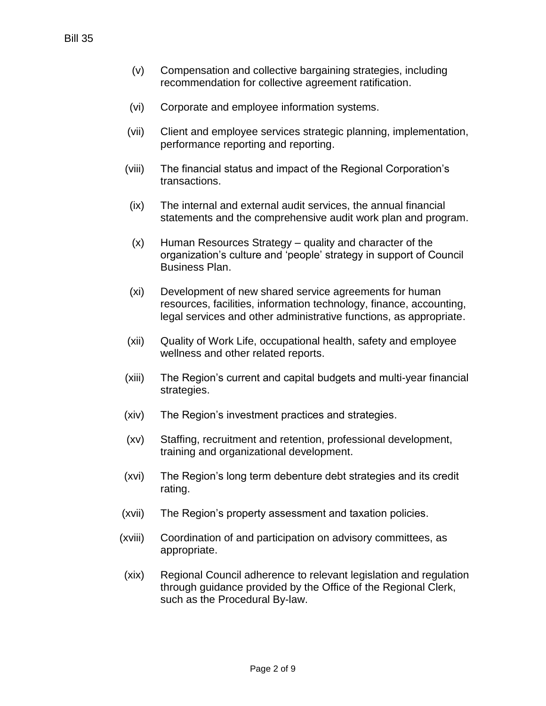- (v) Compensation and collective bargaining strategies, including recommendation for collective agreement ratification.
- (vi) Corporate and employee information systems.
- (vii) Client and employee services strategic planning, implementation, performance reporting and reporting.
- (viii) The financial status and impact of the Regional Corporation's transactions.
- (ix) The internal and external audit services, the annual financial statements and the comprehensive audit work plan and program.
- (x) Human Resources Strategy quality and character of the organization's culture and 'people' strategy in support of Council Business Plan.
- (xi) Development of new shared service agreements for human resources, facilities, information technology, finance, accounting, legal services and other administrative functions, as appropriate.
- (xii) Quality of Work Life, occupational health, safety and employee wellness and other related reports.
- (xiii) The Region's current and capital budgets and multi-year financial strategies.
- (xiv) The Region's investment practices and strategies.
- (xv) Staffing, recruitment and retention, professional development, training and organizational development.
- (xvi) The Region's long term debenture debt strategies and its credit rating.
- (xvii) The Region's property assessment and taxation policies.
- (xviii) Coordination of and participation on advisory committees, as appropriate.
- (xix) Regional Council adherence to relevant legislation and regulation through guidance provided by the Office of the Regional Clerk, such as the Procedural By-law.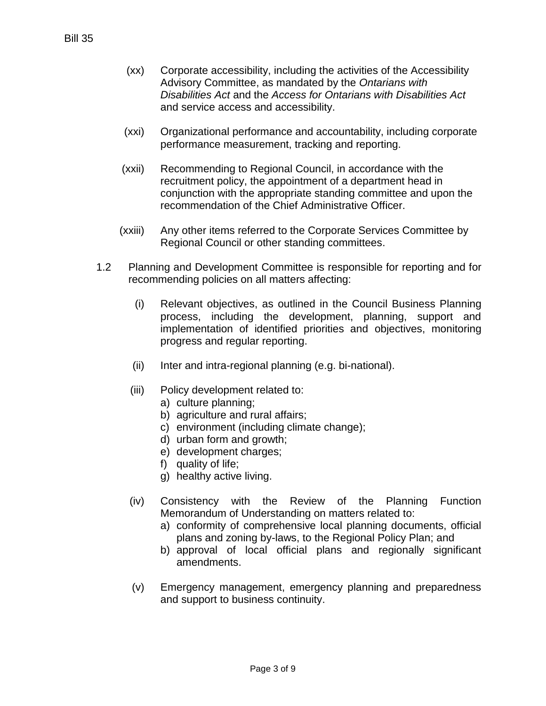- (xx) Corporate accessibility, including the activities of the Accessibility Advisory Committee, as mandated by the *Ontarians with Disabilities Act* and the *Access for Ontarians with Disabilities Act* and service access and accessibility.
- (xxi) Organizational performance and accountability, including corporate performance measurement, tracking and reporting.
- (xxii) Recommending to Regional Council, in accordance with the recruitment policy, the appointment of a department head in conjunction with the appropriate standing committee and upon the recommendation of the Chief Administrative Officer.
- (xxiii) Any other items referred to the Corporate Services Committee by Regional Council or other standing committees.
- 1.2 Planning and Development Committee is responsible for reporting and for recommending policies on all matters affecting:
	- (i) Relevant objectives, as outlined in the Council Business Planning process, including the development, planning, support and implementation of identified priorities and objectives, monitoring progress and regular reporting.
	- (ii) Inter and intra-regional planning (e.g. bi-national).
	- (iii) Policy development related to:
		- a) culture planning;
		- b) agriculture and rural affairs;
		- c) environment (including climate change);
		- d) urban form and growth;
		- e) development charges;
		- f) quality of life;
		- g) healthy active living.
	- (iv) Consistency with the Review of the Planning Function Memorandum of Understanding on matters related to:
		- a) conformity of comprehensive local planning documents, official plans and zoning by-laws, to the Regional Policy Plan; and
		- b) approval of local official plans and regionally significant amendments.
	- (v) Emergency management, emergency planning and preparedness and support to business continuity.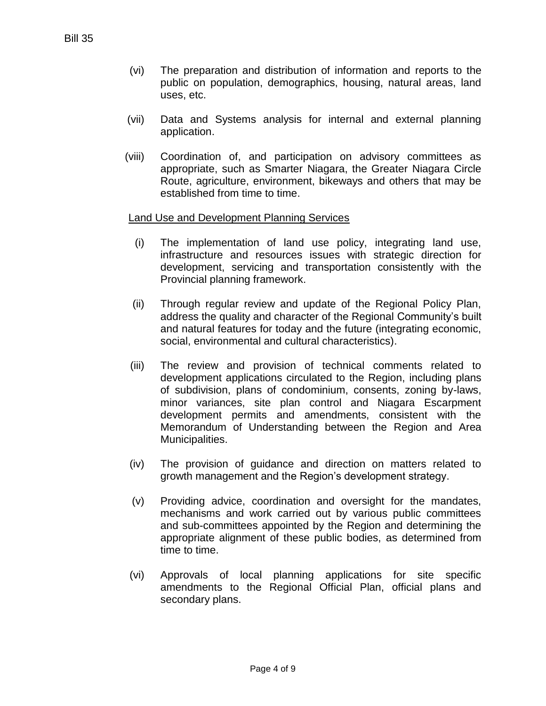- (vi) The preparation and distribution of information and reports to the public on population, demographics, housing, natural areas, land uses, etc.
- (vii) Data and Systems analysis for internal and external planning application.
- (viii) Coordination of, and participation on advisory committees as appropriate, such as Smarter Niagara, the Greater Niagara Circle Route, agriculture, environment, bikeways and others that may be established from time to time.

#### Land Use and Development Planning Services

- (i) The implementation of land use policy, integrating land use, infrastructure and resources issues with strategic direction for development, servicing and transportation consistently with the Provincial planning framework.
- (ii) Through regular review and update of the Regional Policy Plan, address the quality and character of the Regional Community's built and natural features for today and the future (integrating economic, social, environmental and cultural characteristics).
- (iii) The review and provision of technical comments related to development applications circulated to the Region, including plans of subdivision, plans of condominium, consents, zoning by-laws, minor variances, site plan control and Niagara Escarpment development permits and amendments, consistent with the Memorandum of Understanding between the Region and Area Municipalities.
- (iv) The provision of guidance and direction on matters related to growth management and the Region's development strategy.
- (v) Providing advice, coordination and oversight for the mandates, mechanisms and work carried out by various public committees and sub-committees appointed by the Region and determining the appropriate alignment of these public bodies, as determined from time to time.
- (vi) Approvals of local planning applications for site specific amendments to the Regional Official Plan, official plans and secondary plans.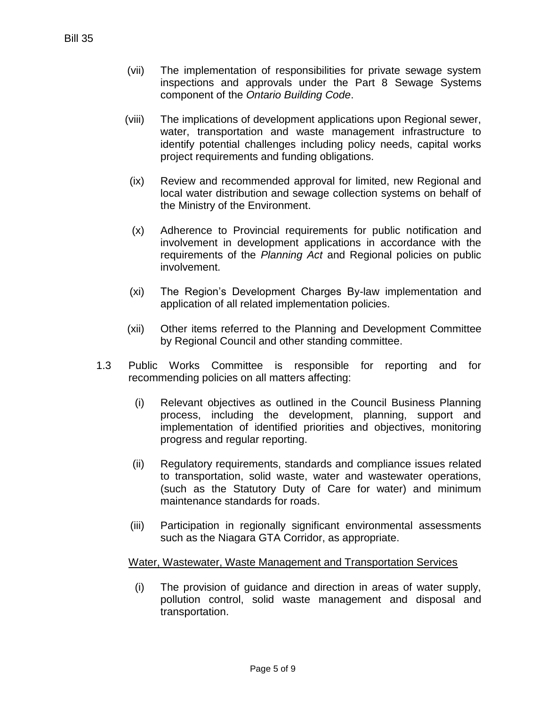- (vii) The implementation of responsibilities for private sewage system inspections and approvals under the Part 8 Sewage Systems component of the *Ontario Building Code*.
- (viii) The implications of development applications upon Regional sewer, water, transportation and waste management infrastructure to identify potential challenges including policy needs, capital works project requirements and funding obligations.
- (ix) Review and recommended approval for limited, new Regional and local water distribution and sewage collection systems on behalf of the Ministry of the Environment.
- (x) Adherence to Provincial requirements for public notification and involvement in development applications in accordance with the requirements of the *Planning Act* and Regional policies on public involvement.
- (xi) The Region's Development Charges By-law implementation and application of all related implementation policies.
- (xii) Other items referred to the Planning and Development Committee by Regional Council and other standing committee.
- 1.3 Public Works Committee is responsible for reporting and for recommending policies on all matters affecting:
	- (i) Relevant objectives as outlined in the Council Business Planning process, including the development, planning, support and implementation of identified priorities and objectives, monitoring progress and regular reporting.
	- (ii) Regulatory requirements, standards and compliance issues related to transportation, solid waste, water and wastewater operations, (such as the Statutory Duty of Care for water) and minimum maintenance standards for roads.
	- (iii) Participation in regionally significant environmental assessments such as the Niagara GTA Corridor, as appropriate.

#### Water, Wastewater, Waste Management and Transportation Services

(i) The provision of guidance and direction in areas of water supply, pollution control, solid waste management and disposal and transportation.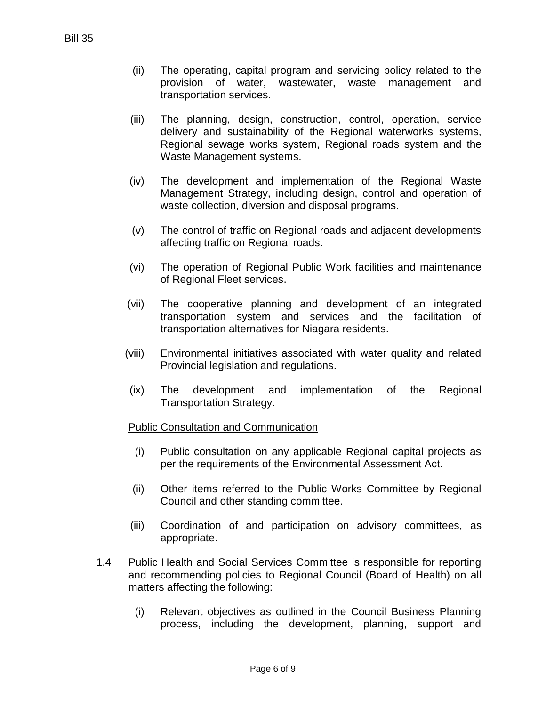- (ii) The operating, capital program and servicing policy related to the provision of water, wastewater, waste management and transportation services.
- (iii) The planning, design, construction, control, operation, service delivery and sustainability of the Regional waterworks systems, Regional sewage works system, Regional roads system and the Waste Management systems.
- (iv) The development and implementation of the Regional Waste Management Strategy, including design, control and operation of waste collection, diversion and disposal programs.
- (v) The control of traffic on Regional roads and adjacent developments affecting traffic on Regional roads.
- (vi) The operation of Regional Public Work facilities and maintenance of Regional Fleet services.
- (vii) The cooperative planning and development of an integrated transportation system and services and the facilitation of transportation alternatives for Niagara residents.
- (viii) Environmental initiatives associated with water quality and related Provincial legislation and regulations.
- (ix) The development and implementation of the Regional Transportation Strategy.

## Public Consultation and Communication

- (i) Public consultation on any applicable Regional capital projects as per the requirements of the Environmental Assessment Act.
- (ii) Other items referred to the Public Works Committee by Regional Council and other standing committee.
- (iii) Coordination of and participation on advisory committees, as appropriate.
- 1.4 Public Health and Social Services Committee is responsible for reporting and recommending policies to Regional Council (Board of Health) on all matters affecting the following:
	- (i) Relevant objectives as outlined in the Council Business Planning process, including the development, planning, support and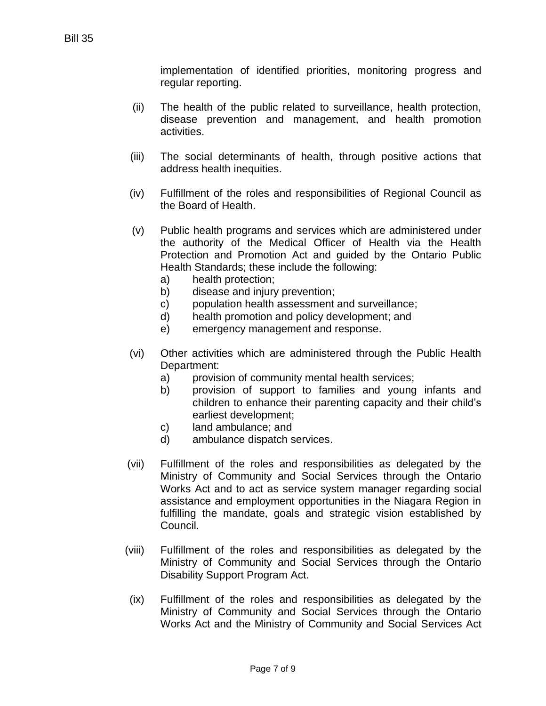implementation of identified priorities, monitoring progress and regular reporting.

- (ii) The health of the public related to surveillance, health protection, disease prevention and management, and health promotion activities.
- (iii) The social determinants of health, through positive actions that address health inequities.
- (iv) Fulfillment of the roles and responsibilities of Regional Council as the Board of Health.
- (v) Public health programs and services which are administered under the authority of the Medical Officer of Health via the Health Protection and Promotion Act and guided by the Ontario Public Health Standards; these include the following:
	- a) health protection;
	- b) disease and injury prevention;
	- c) population health assessment and surveillance;
	- d) health promotion and policy development; and
	- e) emergency management and response.
- (vi) Other activities which are administered through the Public Health Department:
	- a) provision of community mental health services;
	- b) provision of support to families and young infants and children to enhance their parenting capacity and their child's earliest development;
	- c) land ambulance; and
	- d) ambulance dispatch services.
- (vii) Fulfillment of the roles and responsibilities as delegated by the Ministry of Community and Social Services through the Ontario Works Act and to act as service system manager regarding social assistance and employment opportunities in the Niagara Region in fulfilling the mandate, goals and strategic vision established by Council.
- (viii) Fulfillment of the roles and responsibilities as delegated by the Ministry of Community and Social Services through the Ontario Disability Support Program Act.
- (ix) Fulfillment of the roles and responsibilities as delegated by the Ministry of Community and Social Services through the Ontario Works Act and the Ministry of Community and Social Services Act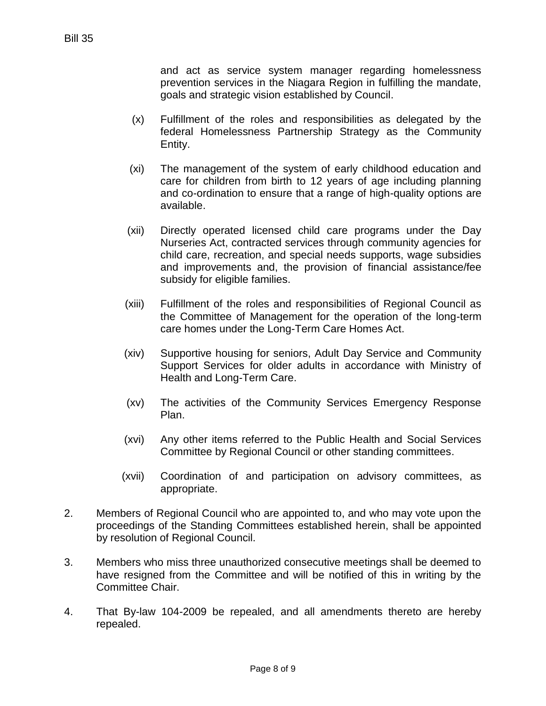and act as service system manager regarding homelessness prevention services in the Niagara Region in fulfilling the mandate, goals and strategic vision established by Council.

- (x) Fulfillment of the roles and responsibilities as delegated by the federal Homelessness Partnership Strategy as the Community Entity.
- (xi) The management of the system of early childhood education and care for children from birth to 12 years of age including planning and co-ordination to ensure that a range of high-quality options are available.
- (xii) Directly operated licensed child care programs under the Day Nurseries Act, contracted services through community agencies for child care, recreation, and special needs supports, wage subsidies and improvements and, the provision of financial assistance/fee subsidy for eligible families.
- (xiii) Fulfillment of the roles and responsibilities of Regional Council as the Committee of Management for the operation of the long-term care homes under the Long-Term Care Homes Act.
- (xiv) Supportive housing for seniors, Adult Day Service and Community Support Services for older adults in accordance with Ministry of Health and Long-Term Care.
- (xv) The activities of the Community Services Emergency Response Plan.
- (xvi) Any other items referred to the Public Health and Social Services Committee by Regional Council or other standing committees.
- (xvii) Coordination of and participation on advisory committees, as appropriate.
- 2. Members of Regional Council who are appointed to, and who may vote upon the proceedings of the Standing Committees established herein, shall be appointed by resolution of Regional Council.
- 3. Members who miss three unauthorized consecutive meetings shall be deemed to have resigned from the Committee and will be notified of this in writing by the Committee Chair.
- 4. That By-law 104-2009 be repealed, and all amendments thereto are hereby repealed.